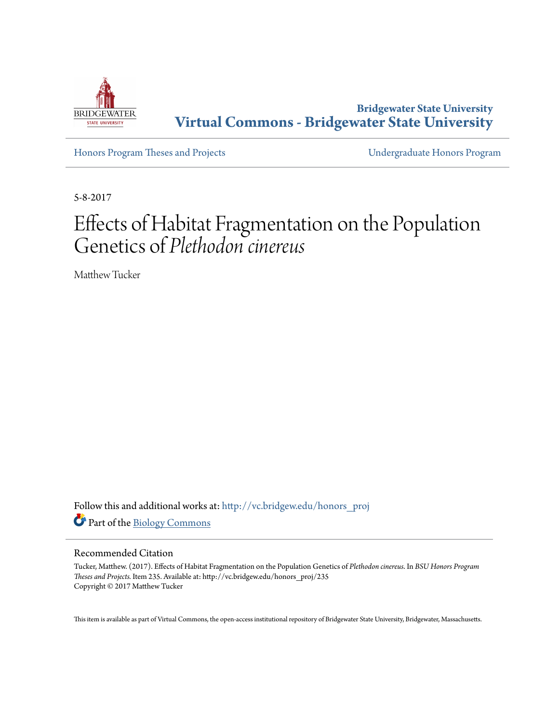

**Bridgewater State University [Virtual Commons - Bridgewater State University](http://vc.bridgew.edu?utm_source=vc.bridgew.edu%2Fhonors_proj%2F235&utm_medium=PDF&utm_campaign=PDFCoverPages)**

[Honors Program Theses and Projects](http://vc.bridgew.edu/honors_proj?utm_source=vc.bridgew.edu%2Fhonors_proj%2F235&utm_medium=PDF&utm_campaign=PDFCoverPages) [Undergraduate Honors Program](http://vc.bridgew.edu/honors?utm_source=vc.bridgew.edu%2Fhonors_proj%2F235&utm_medium=PDF&utm_campaign=PDFCoverPages)

5-8-2017

# Effects of Habitat Fragmentation on the Population Genetics of *Plethodon cinereus*

Matthew Tucker

Follow this and additional works at: [http://vc.bridgew.edu/honors\\_proj](http://vc.bridgew.edu/honors_proj?utm_source=vc.bridgew.edu%2Fhonors_proj%2F235&utm_medium=PDF&utm_campaign=PDFCoverPages) Part of the [Biology Commons](http://network.bepress.com/hgg/discipline/41?utm_source=vc.bridgew.edu%2Fhonors_proj%2F235&utm_medium=PDF&utm_campaign=PDFCoverPages)

#### Recommended Citation

Tucker, Matthew. (2017). Effects of Habitat Fragmentation on the Population Genetics of *Plethodon cinereus*. In *BSU Honors Program Theses and Projects.* Item 235. Available at: http://vc.bridgew.edu/honors\_proj/235 Copyright © 2017 Matthew Tucker

This item is available as part of Virtual Commons, the open-access institutional repository of Bridgewater State University, Bridgewater, Massachusetts.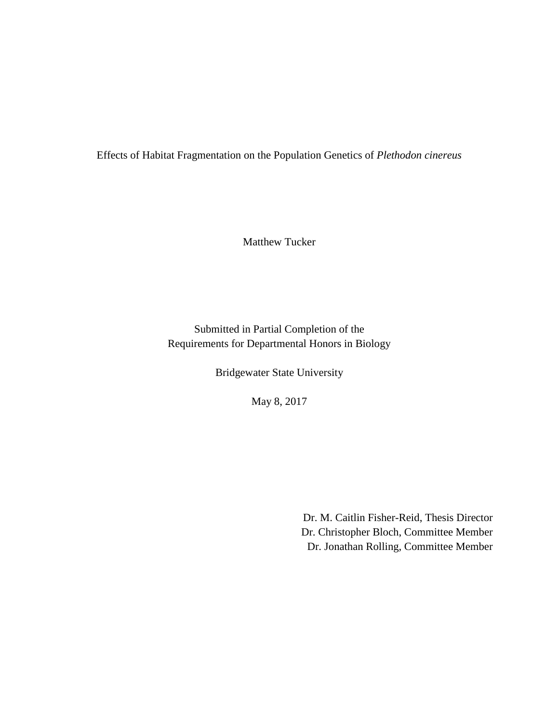Effects of Habitat Fragmentation on the Population Genetics of *Plethodon cinereus*

Matthew Tucker

Submitted in Partial Completion of the Requirements for Departmental Honors in Biology

Bridgewater State University

May 8, 2017

Dr. M. Caitlin Fisher-Reid, Thesis Director Dr. Christopher Bloch, Committee Member Dr. Jonathan Rolling, Committee Member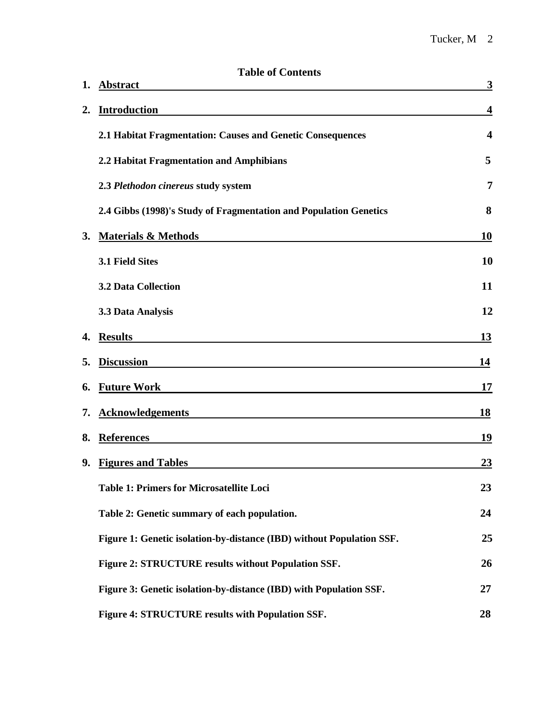| 1. | <b>Table of Contents</b><br><b>Abstract</b>                           | $\overline{\mathbf{3}}$ |
|----|-----------------------------------------------------------------------|-------------------------|
| 2. | <b>Introduction</b>                                                   | $\overline{\mathbf{4}}$ |
|    | 2.1 Habitat Fragmentation: Causes and Genetic Consequences            | $\overline{\mathbf{4}}$ |
|    | 2.2 Habitat Fragmentation and Amphibians                              | 5                       |
|    | 2.3 Plethodon cinereus study system                                   | $\overline{7}$          |
|    | 2.4 Gibbs (1998)'s Study of Fragmentation and Population Genetics     | 8                       |
| 3. | <b>Materials &amp; Methods</b>                                        | 10                      |
|    | 3.1 Field Sites                                                       | 10                      |
|    | <b>3.2 Data Collection</b>                                            | 11                      |
|    | 3.3 Data Analysis                                                     | 12                      |
| 4. | <b>Results</b>                                                        | <u>13</u>               |
| 5. | <b>Discussion</b>                                                     | 14                      |
| 6. | <b>Future Work</b>                                                    | 17                      |
| 7. | <b>Acknowledgements</b>                                               | <b>18</b>               |
| 8. | <b>References</b>                                                     | 19                      |
| 9. | <b>Figures and Tables</b>                                             | 23                      |
|    | <b>Table 1: Primers for Microsatellite Loci</b>                       | 23                      |
|    | Table 2: Genetic summary of each population.                          | 24                      |
|    | Figure 1: Genetic isolation-by-distance (IBD) without Population SSF. | 25                      |
|    | Figure 2: STRUCTURE results without Population SSF.                   | 26                      |
|    | Figure 3: Genetic isolation-by-distance (IBD) with Population SSF.    | 27                      |
|    | Figure 4: STRUCTURE results with Population SSF.                      | 28                      |

# **Table of Contents**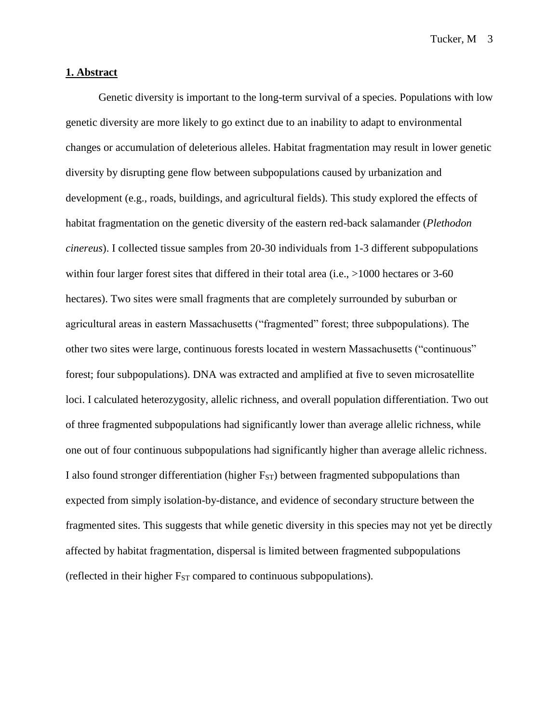#### **1. Abstract**

Genetic diversity is important to the long-term survival of a species. Populations with low genetic diversity are more likely to go extinct due to an inability to adapt to environmental changes or accumulation of deleterious alleles. Habitat fragmentation may result in lower genetic diversity by disrupting gene flow between subpopulations caused by urbanization and development (e.g., roads, buildings, and agricultural fields). This study explored the effects of habitat fragmentation on the genetic diversity of the eastern red-back salamander (*Plethodon cinereus*). I collected tissue samples from 20-30 individuals from 1-3 different subpopulations within four larger forest sites that differed in their total area (i.e., >1000 hectares or 3-60 hectares). Two sites were small fragments that are completely surrounded by suburban or agricultural areas in eastern Massachusetts ("fragmented" forest; three subpopulations). The other two sites were large, continuous forests located in western Massachusetts ("continuous" forest; four subpopulations). DNA was extracted and amplified at five to seven microsatellite loci. I calculated heterozygosity, allelic richness, and overall population differentiation. Two out of three fragmented subpopulations had significantly lower than average allelic richness, while one out of four continuous subpopulations had significantly higher than average allelic richness. I also found stronger differentiation (higher  $F_{ST}$ ) between fragmented subpopulations than expected from simply isolation-by-distance, and evidence of secondary structure between the fragmented sites. This suggests that while genetic diversity in this species may not yet be directly affected by habitat fragmentation, dispersal is limited between fragmented subpopulations (reflected in their higher  $F_{ST}$  compared to continuous subpopulations).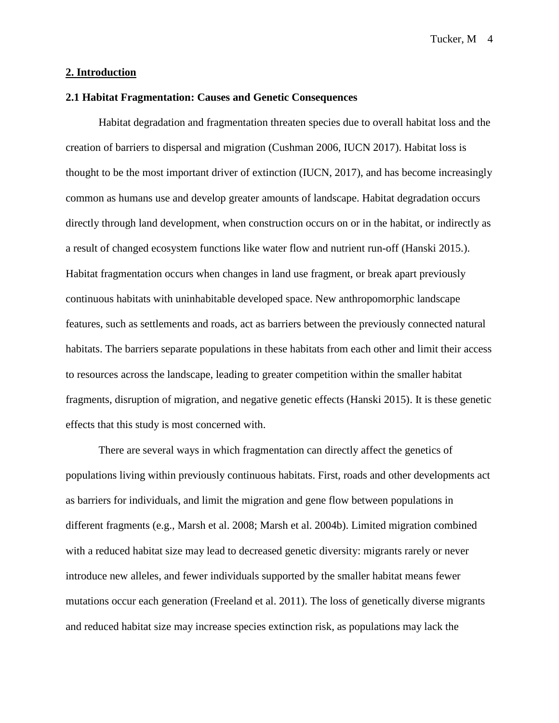#### **2. Introduction**

#### **2.1 Habitat Fragmentation: Causes and Genetic Consequences**

Habitat degradation and fragmentation threaten species due to overall habitat loss and the creation of barriers to dispersal and migration (Cushman 2006, IUCN 2017). Habitat loss is thought to be the most important driver of extinction (IUCN, 2017), and has become increasingly common as humans use and develop greater amounts of landscape. Habitat degradation occurs directly through land development, when construction occurs on or in the habitat, or indirectly as a result of changed ecosystem functions like water flow and nutrient run-off (Hanski 2015.). Habitat fragmentation occurs when changes in land use fragment, or break apart previously continuous habitats with uninhabitable developed space. New anthropomorphic landscape features, such as settlements and roads, act as barriers between the previously connected natural habitats. The barriers separate populations in these habitats from each other and limit their access to resources across the landscape, leading to greater competition within the smaller habitat fragments, disruption of migration, and negative genetic effects (Hanski 2015). It is these genetic effects that this study is most concerned with.

There are several ways in which fragmentation can directly affect the genetics of populations living within previously continuous habitats. First, roads and other developments act as barriers for individuals, and limit the migration and gene flow between populations in different fragments (e.g., Marsh et al. 2008; Marsh et al. 2004b). Limited migration combined with a reduced habitat size may lead to decreased genetic diversity: migrants rarely or never introduce new alleles, and fewer individuals supported by the smaller habitat means fewer mutations occur each generation (Freeland et al. 2011). The loss of genetically diverse migrants and reduced habitat size may increase species extinction risk, as populations may lack the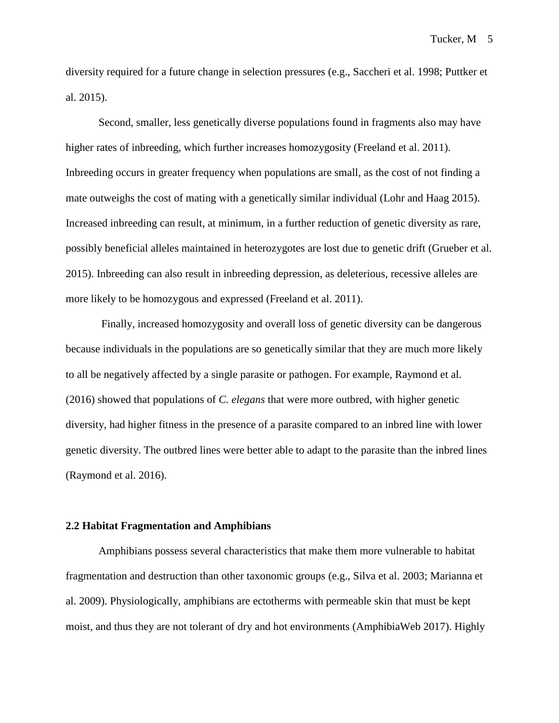diversity required for a future change in selection pressures (e.g., Saccheri et al. 1998; Puttker et al. 2015).

Second, smaller, less genetically diverse populations found in fragments also may have higher rates of inbreeding, which further increases homozygosity (Freeland et al. 2011). Inbreeding occurs in greater frequency when populations are small, as the cost of not finding a mate outweighs the cost of mating with a genetically similar individual (Lohr and Haag 2015). Increased inbreeding can result, at minimum, in a further reduction of genetic diversity as rare, possibly beneficial alleles maintained in heterozygotes are lost due to genetic drift (Grueber et al. 2015). Inbreeding can also result in inbreeding depression, as deleterious, recessive alleles are more likely to be homozygous and expressed (Freeland et al. 2011).

Finally, increased homozygosity and overall loss of genetic diversity can be dangerous because individuals in the populations are so genetically similar that they are much more likely to all be negatively affected by a single parasite or pathogen. For example, Raymond et al. (2016) showed that populations of *C. elegans* that were more outbred, with higher genetic diversity, had higher fitness in the presence of a parasite compared to an inbred line with lower genetic diversity. The outbred lines were better able to adapt to the parasite than the inbred lines (Raymond et al. 2016).

#### **2.2 Habitat Fragmentation and Amphibians**

Amphibians possess several characteristics that make them more vulnerable to habitat fragmentation and destruction than other taxonomic groups (e.g., Silva et al. 2003; Marianna et al. 2009). Physiologically, amphibians are ectotherms with permeable skin that must be kept moist, and thus they are not tolerant of dry and hot environments (AmphibiaWeb 2017). Highly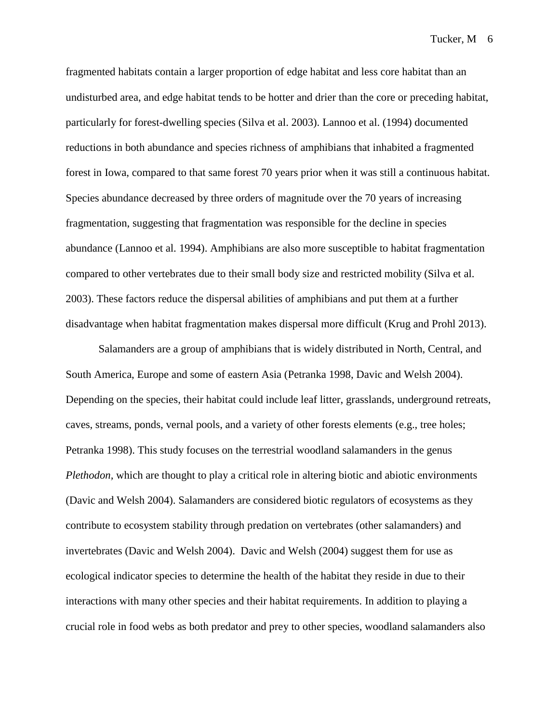fragmented habitats contain a larger proportion of edge habitat and less core habitat than an undisturbed area, and edge habitat tends to be hotter and drier than the core or preceding habitat, particularly for forest-dwelling species (Silva et al. 2003). Lannoo et al. (1994) documented reductions in both abundance and species richness of amphibians that inhabited a fragmented forest in Iowa, compared to that same forest 70 years prior when it was still a continuous habitat. Species abundance decreased by three orders of magnitude over the 70 years of increasing fragmentation, suggesting that fragmentation was responsible for the decline in species abundance (Lannoo et al. 1994). Amphibians are also more susceptible to habitat fragmentation compared to other vertebrates due to their small body size and restricted mobility (Silva et al. 2003). These factors reduce the dispersal abilities of amphibians and put them at a further disadvantage when habitat fragmentation makes dispersal more difficult (Krug and Prohl 2013).

Salamanders are a group of amphibians that is widely distributed in North, Central, and South America, Europe and some of eastern Asia (Petranka 1998, Davic and Welsh 2004). Depending on the species, their habitat could include leaf litter, grasslands, underground retreats, caves, streams, ponds, vernal pools, and a variety of other forests elements (e.g., tree holes; Petranka 1998). This study focuses on the terrestrial woodland salamanders in the genus *Plethodon,* which are thought to play a critical role in altering biotic and abiotic environments (Davic and Welsh 2004). Salamanders are considered biotic regulators of ecosystems as they contribute to ecosystem stability through predation on vertebrates (other salamanders) and invertebrates (Davic and Welsh 2004). Davic and Welsh (2004) suggest them for use as ecological indicator species to determine the health of the habitat they reside in due to their interactions with many other species and their habitat requirements. In addition to playing a crucial role in food webs as both predator and prey to other species, woodland salamanders also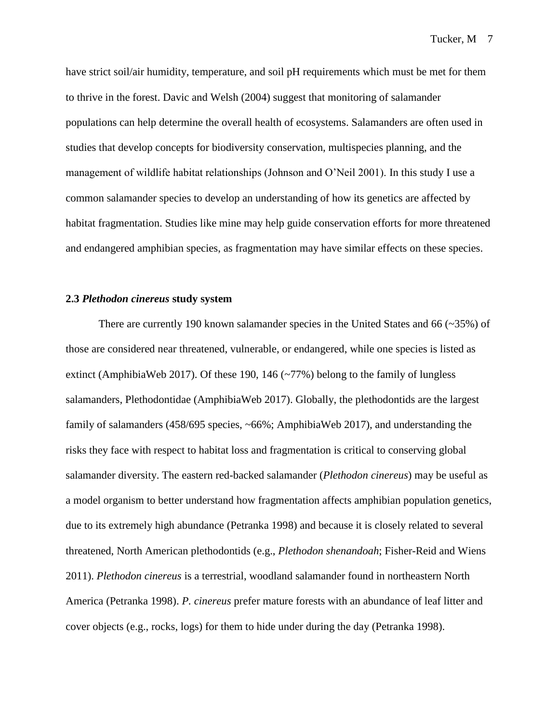have strict soil/air humidity, temperature, and soil pH requirements which must be met for them to thrive in the forest. Davic and Welsh (2004) suggest that monitoring of salamander populations can help determine the overall health of ecosystems. Salamanders are often used in studies that develop concepts for biodiversity conservation, multispecies planning, and the management of wildlife habitat relationships (Johnson and O'Neil 2001). In this study I use a common salamander species to develop an understanding of how its genetics are affected by habitat fragmentation. Studies like mine may help guide conservation efforts for more threatened and endangered amphibian species, as fragmentation may have similar effects on these species.

#### **2.3** *Plethodon cinereus* **study system**

There are currently 190 known salamander species in the United States and 66 (~35%) of those are considered near threatened, vulnerable, or endangered, while one species is listed as extinct (AmphibiaWeb 2017). Of these 190, 146  $(\sim 77\%)$  belong to the family of lungless salamanders, Plethodontidae (AmphibiaWeb 2017). Globally, the plethodontids are the largest family of salamanders (458/695 species, ~66%; AmphibiaWeb 2017), and understanding the risks they face with respect to habitat loss and fragmentation is critical to conserving global salamander diversity. The eastern red-backed salamander (*Plethodon cinereus*) may be useful as a model organism to better understand how fragmentation affects amphibian population genetics, due to its extremely high abundance (Petranka 1998) and because it is closely related to several threatened, North American plethodontids (e.g., *Plethodon shenandoah*; Fisher-Reid and Wiens 2011). *Plethodon cinereus* is a terrestrial, woodland salamander found in northeastern North America (Petranka 1998). *P. cinereus* prefer mature forests with an abundance of leaf litter and cover objects (e.g., rocks, logs) for them to hide under during the day (Petranka 1998).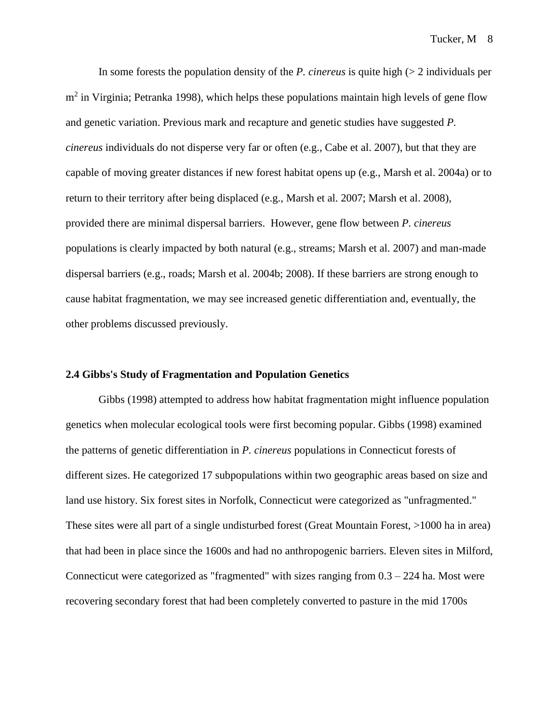In some forests the population density of the *P. cinereus* is quite high (> 2 individuals per m<sup>2</sup> in Virginia; Petranka 1998), which helps these populations maintain high levels of gene flow and genetic variation. Previous mark and recapture and genetic studies have suggested *P. cinereus* individuals do not disperse very far or often (e.g., Cabe et al. 2007), but that they are capable of moving greater distances if new forest habitat opens up (e.g., Marsh et al. 2004a) or to return to their territory after being displaced (e.g., Marsh et al. 2007; Marsh et al. 2008), provided there are minimal dispersal barriers. However, gene flow between *P. cinereus*  populations is clearly impacted by both natural (e.g., streams; Marsh et al. 2007) and man-made dispersal barriers (e.g., roads; Marsh et al. 2004b; 2008). If these barriers are strong enough to cause habitat fragmentation, we may see increased genetic differentiation and, eventually, the other problems discussed previously.

#### **2.4 Gibbs's Study of Fragmentation and Population Genetics**

Gibbs (1998) attempted to address how habitat fragmentation might influence population genetics when molecular ecological tools were first becoming popular. Gibbs (1998) examined the patterns of genetic differentiation in *P. cinereus* populations in Connecticut forests of different sizes. He categorized 17 subpopulations within two geographic areas based on size and land use history. Six forest sites in Norfolk, Connecticut were categorized as "unfragmented." These sites were all part of a single undisturbed forest (Great Mountain Forest, >1000 ha in area) that had been in place since the 1600s and had no anthropogenic barriers. Eleven sites in Milford, Connecticut were categorized as "fragmented" with sizes ranging from  $0.3 - 224$  ha. Most were recovering secondary forest that had been completely converted to pasture in the mid 1700s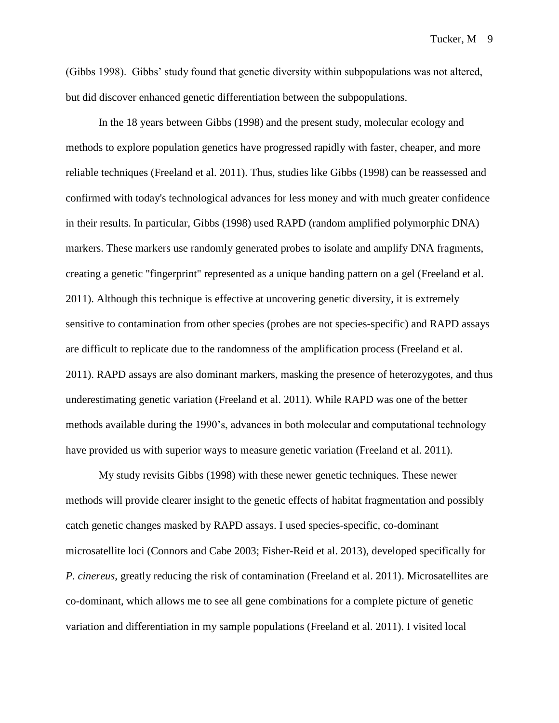(Gibbs 1998). Gibbs' study found that genetic diversity within subpopulations was not altered, but did discover enhanced genetic differentiation between the subpopulations.

In the 18 years between Gibbs (1998) and the present study, molecular ecology and methods to explore population genetics have progressed rapidly with faster, cheaper, and more reliable techniques (Freeland et al. 2011). Thus, studies like Gibbs (1998) can be reassessed and confirmed with today's technological advances for less money and with much greater confidence in their results. In particular, Gibbs (1998) used RAPD (random amplified polymorphic DNA) markers. These markers use randomly generated probes to isolate and amplify DNA fragments, creating a genetic "fingerprint" represented as a unique banding pattern on a gel (Freeland et al. 2011). Although this technique is effective at uncovering genetic diversity, it is extremely sensitive to contamination from other species (probes are not species-specific) and RAPD assays are difficult to replicate due to the randomness of the amplification process (Freeland et al. 2011). RAPD assays are also dominant markers, masking the presence of heterozygotes, and thus underestimating genetic variation (Freeland et al. 2011). While RAPD was one of the better methods available during the 1990's, advances in both molecular and computational technology have provided us with superior ways to measure genetic variation (Freeland et al. 2011).

My study revisits Gibbs (1998) with these newer genetic techniques. These newer methods will provide clearer insight to the genetic effects of habitat fragmentation and possibly catch genetic changes masked by RAPD assays. I used species-specific, co-dominant microsatellite loci (Connors and Cabe 2003; Fisher-Reid et al. 2013), developed specifically for *P. cinereus*, greatly reducing the risk of contamination (Freeland et al. 2011). Microsatellites are co-dominant, which allows me to see all gene combinations for a complete picture of genetic variation and differentiation in my sample populations (Freeland et al. 2011). I visited local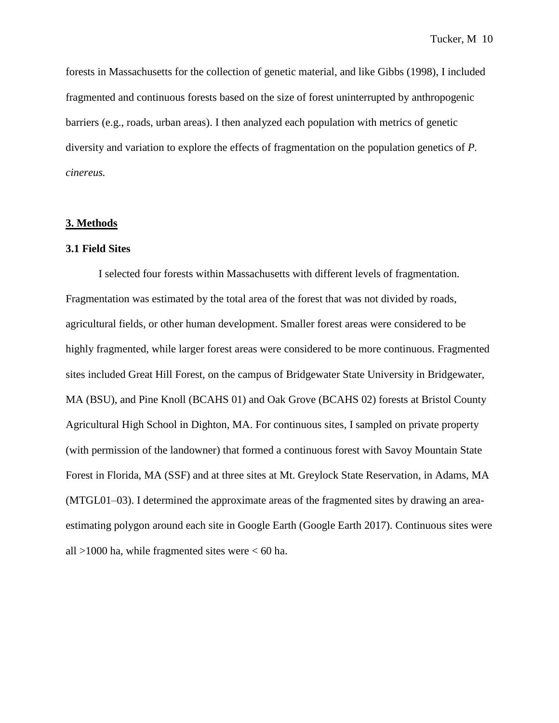forests in Massachusetts for the collection of genetic material, and like Gibbs (1998), I included fragmented and continuous forests based on the size of forest uninterrupted by anthropogenic barriers (e.g., roads, urban areas). I then analyzed each population with metrics of genetic diversity and variation to explore the effects of fragmentation on the population genetics of *P. cinereus.* 

#### **3. Methods**

#### **3.1 Field Sites**

I selected four forests within Massachusetts with different levels of fragmentation. Fragmentation was estimated by the total area of the forest that was not divided by roads, agricultural fields, or other human development. Smaller forest areas were considered to be highly fragmented, while larger forest areas were considered to be more continuous. Fragmented sites included Great Hill Forest, on the campus of Bridgewater State University in Bridgewater, MA (BSU), and Pine Knoll (BCAHS 01) and Oak Grove (BCAHS 02) forests at Bristol County Agricultural High School in Dighton, MA. For continuous sites, I sampled on private property (with permission of the landowner) that formed a continuous forest with Savoy Mountain State Forest in Florida, MA (SSF) and at three sites at Mt. Greylock State Reservation, in Adams, MA (MTGL01–03). I determined the approximate areas of the fragmented sites by drawing an areaestimating polygon around each site in Google Earth (Google Earth 2017). Continuous sites were all  $>1000$  ha, while fragmented sites were  $< 60$  ha.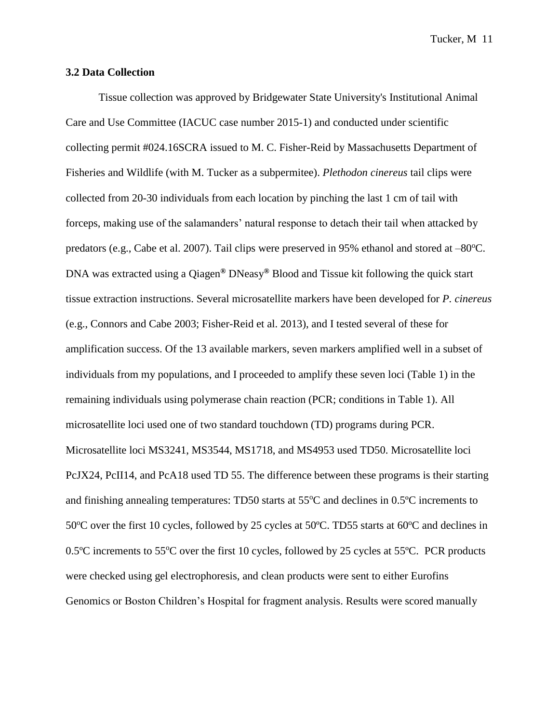#### **3.2 Data Collection**

Tissue collection was approved by Bridgewater State University's Institutional Animal Care and Use Committee (IACUC case number 2015-1) and conducted under scientific collecting permit #024.16SCRA issued to M. C. Fisher-Reid by Massachusetts Department of Fisheries and Wildlife (with M. Tucker as a subpermitee). *Plethodon cinereus* tail clips were collected from 20-30 individuals from each location by pinching the last 1 cm of tail with forceps, making use of the salamanders' natural response to detach their tail when attacked by predators (e.g., Cabe et al. 2007). Tail clips were preserved in 95% ethanol and stored at  $-80^{\circ}$ C. DNA was extracted using a Qiagen**®** DNeasy**®** Blood and Tissue kit following the quick start tissue extraction instructions. Several microsatellite markers have been developed for *P. cinereus*  (e.g., Connors and Cabe 2003; Fisher-Reid et al. 2013), and I tested several of these for amplification success. Of the 13 available markers, seven markers amplified well in a subset of individuals from my populations, and I proceeded to amplify these seven loci (Table 1) in the remaining individuals using polymerase chain reaction (PCR; conditions in Table 1). All microsatellite loci used one of two standard touchdown (TD) programs during PCR. Microsatellite loci MS3241, MS3544, MS1718, and MS4953 used TD50. Microsatellite loci PcJX24, PcII14, and PcA18 used TD 55. The difference between these programs is their starting and finishing annealing temperatures: TD50 starts at  $55^{\circ}$ C and declines in  $0.5^{\circ}$ C increments to 50 $\degree$ C over the first 10 cycles, followed by 25 cycles at 50 $\degree$ C. TD55 starts at 60 $\degree$ C and declines in 0.5 $\degree$ C increments to 55 $\degree$ C over the first 10 cycles, followed by 25 cycles at 55 $\degree$ C. PCR products were checked using gel electrophoresis, and clean products were sent to either Eurofins Genomics or Boston Children's Hospital for fragment analysis. Results were scored manually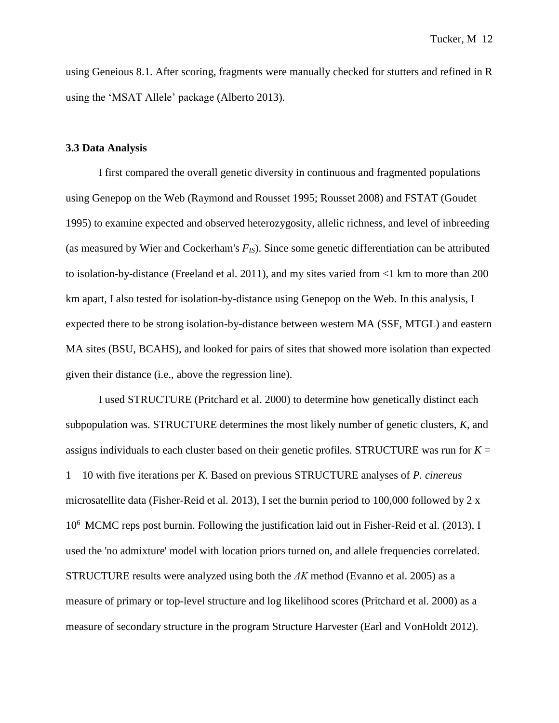using Geneious 8.1. After scoring, fragments were manually checked for stutters and refined in R using the 'MSAT Allele' package (Alberto 2013).

#### **3.3 Data Analysis**

I first compared the overall genetic diversity in continuous and fragmented populations using Genepop on the Web (Raymond and Rousset 1995; Rousset 2008) and FSTAT (Goudet 1995) to examine expected and observed heterozygosity, allelic richness, and level of inbreeding (as measured by Wier and Cockerham's *FIS*). Since some genetic differentiation can be attributed to isolation-by-distance (Freeland et al. 2011), and my sites varied from <1 km to more than 200 km apart, I also tested for isolation-by-distance using Genepop on the Web. In this analysis, I expected there to be strong isolation-by-distance between western MA (SSF, MTGL) and eastern MA sites (BSU, BCAHS), and looked for pairs of sites that showed more isolation than expected given their distance (i.e., above the regression line).

I used STRUCTURE (Pritchard et al. 2000) to determine how genetically distinct each subpopulation was. STRUCTURE determines the most likely number of genetic clusters, *K*, and assigns individuals to each cluster based on their genetic profiles. STRUCTURE was run for  $K =$ 1 – 10 with five iterations per *K*. Based on previous STRUCTURE analyses of *P. cinereus*  microsatellite data (Fisher-Reid et al. 2013), I set the burnin period to 100,000 followed by 2 x 10<sup>6</sup> MCMC reps post burnin. Following the justification laid out in Fisher-Reid et al. (2013), I used the 'no admixture' model with location priors turned on, and allele frequencies correlated. STRUCTURE results were analyzed using both the *ΔK* method (Evanno et al. 2005) as a measure of primary or top-level structure and log likelihood scores (Pritchard et al. 2000) as a measure of secondary structure in the program Structure Harvester (Earl and VonHoldt 2012).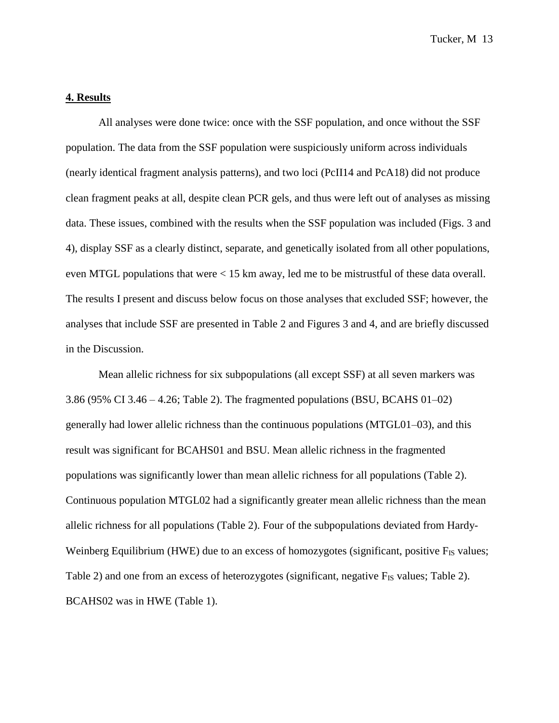## **4. Results**

All analyses were done twice: once with the SSF population, and once without the SSF population. The data from the SSF population were suspiciously uniform across individuals (nearly identical fragment analysis patterns), and two loci (PcII14 and PcA18) did not produce clean fragment peaks at all, despite clean PCR gels, and thus were left out of analyses as missing data. These issues, combined with the results when the SSF population was included (Figs. 3 and 4), display SSF as a clearly distinct, separate, and genetically isolated from all other populations, even MTGL populations that were < 15 km away, led me to be mistrustful of these data overall. The results I present and discuss below focus on those analyses that excluded SSF; however, the analyses that include SSF are presented in Table 2 and Figures 3 and 4, and are briefly discussed in the Discussion.

Mean allelic richness for six subpopulations (all except SSF) at all seven markers was 3.86 (95% CI 3.46 – 4.26; Table 2). The fragmented populations (BSU, BCAHS 01–02) generally had lower allelic richness than the continuous populations (MTGL01–03), and this result was significant for BCAHS01 and BSU. Mean allelic richness in the fragmented populations was significantly lower than mean allelic richness for all populations (Table 2). Continuous population MTGL02 had a significantly greater mean allelic richness than the mean allelic richness for all populations (Table 2). Four of the subpopulations deviated from Hardy-Weinberg Equilibrium (HWE) due to an excess of homozygotes (significant, positive  $F_{IS}$  values; Table 2) and one from an excess of heterozygotes (significant, negative F<sub>IS</sub> values; Table 2). BCAHS02 was in HWE (Table 1).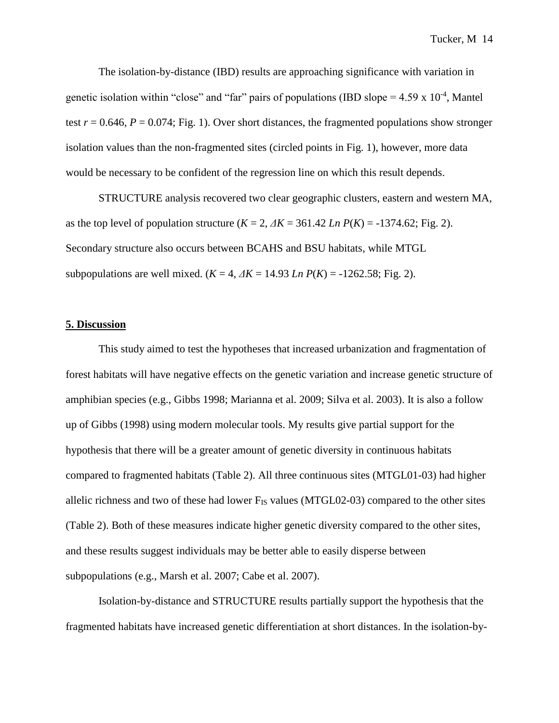The isolation-by-distance (IBD) results are approaching significance with variation in genetic isolation within "close" and "far" pairs of populations (IBD slope =  $4.59 \times 10^{-4}$ , Mantel test  $r = 0.646$ ,  $P = 0.074$ ; Fig. 1). Over short distances, the fragmented populations show stronger isolation values than the non-fragmented sites (circled points in Fig. 1), however, more data would be necessary to be confident of the regression line on which this result depends.

STRUCTURE analysis recovered two clear geographic clusters, eastern and western MA, as the top level of population structure  $(K = 2, \Delta K = 361.42$  *Ln P(K)* = -1374.62; Fig. 2). Secondary structure also occurs between BCAHS and BSU habitats, while MTGL subpopulations are well mixed. ( $K = 4$ ,  $\Delta K = 14.93$  *Ln P(K)* = -1262.58; Fig. 2).

#### **5. Discussion**

This study aimed to test the hypotheses that increased urbanization and fragmentation of forest habitats will have negative effects on the genetic variation and increase genetic structure of amphibian species (e.g., Gibbs 1998; Marianna et al. 2009; Silva et al. 2003). It is also a follow up of Gibbs (1998) using modern molecular tools. My results give partial support for the hypothesis that there will be a greater amount of genetic diversity in continuous habitats compared to fragmented habitats (Table 2). All three continuous sites (MTGL01-03) had higher allelic richness and two of these had lower  $F_{IS}$  values (MTGL02-03) compared to the other sites (Table 2). Both of these measures indicate higher genetic diversity compared to the other sites, and these results suggest individuals may be better able to easily disperse between subpopulations (e.g., Marsh et al. 2007; Cabe et al. 2007).

Isolation-by-distance and STRUCTURE results partially support the hypothesis that the fragmented habitats have increased genetic differentiation at short distances. In the isolation-by-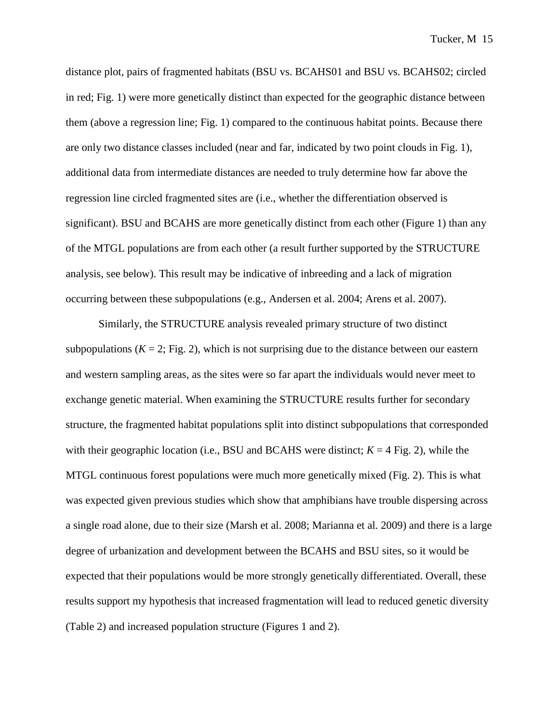distance plot, pairs of fragmented habitats (BSU vs. BCAHS01 and BSU vs. BCAHS02; circled in red; Fig. 1) were more genetically distinct than expected for the geographic distance between them (above a regression line; Fig. 1) compared to the continuous habitat points. Because there are only two distance classes included (near and far, indicated by two point clouds in Fig. 1), additional data from intermediate distances are needed to truly determine how far above the regression line circled fragmented sites are (i.e., whether the differentiation observed is significant). BSU and BCAHS are more genetically distinct from each other (Figure 1) than any of the MTGL populations are from each other (a result further supported by the STRUCTURE analysis, see below). This result may be indicative of inbreeding and a lack of migration occurring between these subpopulations (e.g., Andersen et al. 2004; Arens et al. 2007).

Similarly, the STRUCTURE analysis revealed primary structure of two distinct subpopulations  $(K = 2; Fig. 2)$ , which is not surprising due to the distance between our eastern and western sampling areas, as the sites were so far apart the individuals would never meet to exchange genetic material. When examining the STRUCTURE results further for secondary structure, the fragmented habitat populations split into distinct subpopulations that corresponded with their geographic location (i.e., BSU and BCAHS were distinct;  $K = 4$  Fig. 2), while the MTGL continuous forest populations were much more genetically mixed (Fig. 2). This is what was expected given previous studies which show that amphibians have trouble dispersing across a single road alone, due to their size (Marsh et al. 2008; Marianna et al. 2009) and there is a large degree of urbanization and development between the BCAHS and BSU sites, so it would be expected that their populations would be more strongly genetically differentiated. Overall, these results support my hypothesis that increased fragmentation will lead to reduced genetic diversity (Table 2) and increased population structure (Figures 1 and 2).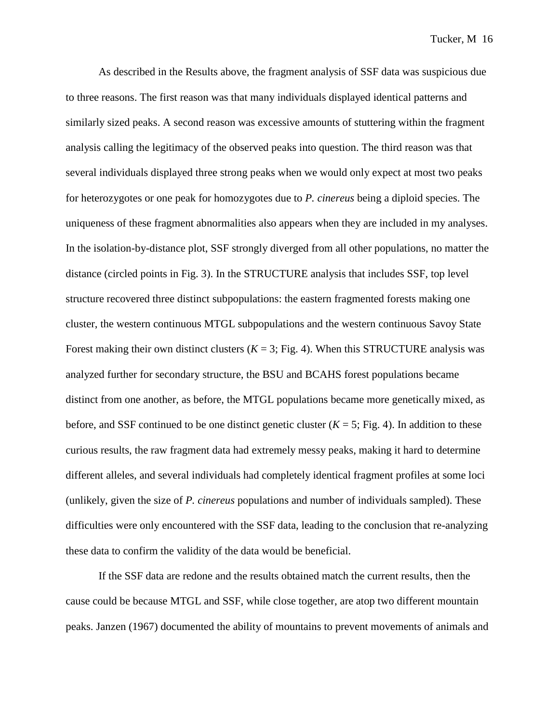As described in the Results above, the fragment analysis of SSF data was suspicious due to three reasons. The first reason was that many individuals displayed identical patterns and similarly sized peaks. A second reason was excessive amounts of stuttering within the fragment analysis calling the legitimacy of the observed peaks into question. The third reason was that several individuals displayed three strong peaks when we would only expect at most two peaks for heterozygotes or one peak for homozygotes due to *P. cinereus* being a diploid species. The uniqueness of these fragment abnormalities also appears when they are included in my analyses. In the isolation-by-distance plot, SSF strongly diverged from all other populations, no matter the distance (circled points in Fig. 3). In the STRUCTURE analysis that includes SSF, top level structure recovered three distinct subpopulations: the eastern fragmented forests making one cluster, the western continuous MTGL subpopulations and the western continuous Savoy State Forest making their own distinct clusters  $(K = 3; Fig. 4)$ . When this STRUCTURE analysis was analyzed further for secondary structure, the BSU and BCAHS forest populations became distinct from one another, as before, the MTGL populations became more genetically mixed, as before, and SSF continued to be one distinct genetic cluster  $(K = 5; Fig. 4)$ . In addition to these curious results, the raw fragment data had extremely messy peaks, making it hard to determine different alleles, and several individuals had completely identical fragment profiles at some loci (unlikely, given the size of *P. cinereus* populations and number of individuals sampled). These difficulties were only encountered with the SSF data, leading to the conclusion that re-analyzing these data to confirm the validity of the data would be beneficial.

If the SSF data are redone and the results obtained match the current results, then the cause could be because MTGL and SSF, while close together, are atop two different mountain peaks. Janzen (1967) documented the ability of mountains to prevent movements of animals and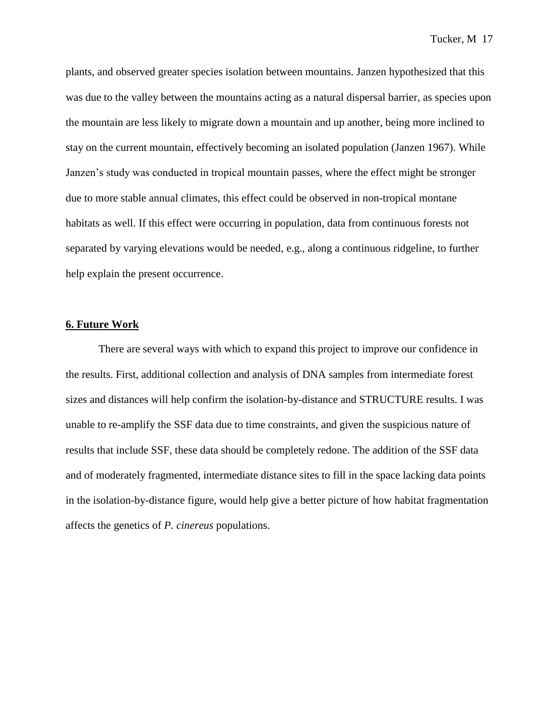plants, and observed greater species isolation between mountains. Janzen hypothesized that this was due to the valley between the mountains acting as a natural dispersal barrier, as species upon the mountain are less likely to migrate down a mountain and up another, being more inclined to stay on the current mountain, effectively becoming an isolated population (Janzen 1967). While Janzen's study was conducted in tropical mountain passes, where the effect might be stronger due to more stable annual climates, this effect could be observed in non-tropical montane habitats as well. If this effect were occurring in population, data from continuous forests not separated by varying elevations would be needed, e.g., along a continuous ridgeline, to further help explain the present occurrence.

#### **6. Future Work**

There are several ways with which to expand this project to improve our confidence in the results. First, additional collection and analysis of DNA samples from intermediate forest sizes and distances will help confirm the isolation-by-distance and STRUCTURE results. I was unable to re-amplify the SSF data due to time constraints, and given the suspicious nature of results that include SSF, these data should be completely redone. The addition of the SSF data and of moderately fragmented, intermediate distance sites to fill in the space lacking data points in the isolation-by-distance figure, would help give a better picture of how habitat fragmentation affects the genetics of *P. cinereus* populations.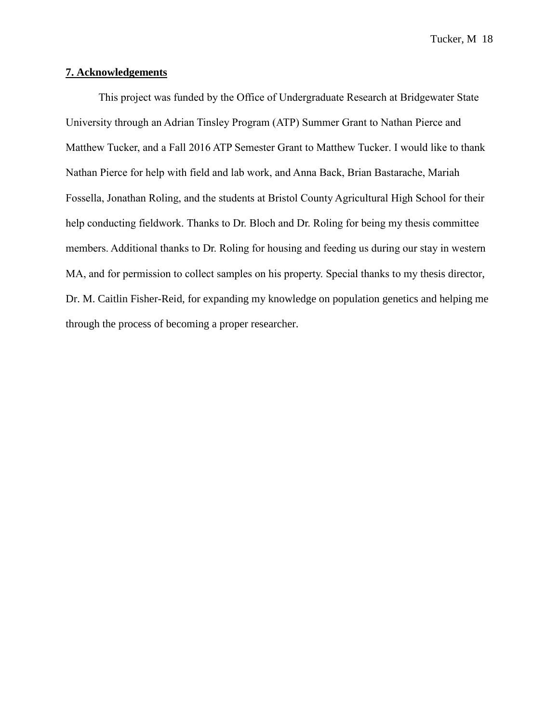### **7. Acknowledgements**

This project was funded by the Office of Undergraduate Research at Bridgewater State University through an Adrian Tinsley Program (ATP) Summer Grant to Nathan Pierce and Matthew Tucker, and a Fall 2016 ATP Semester Grant to Matthew Tucker. I would like to thank Nathan Pierce for help with field and lab work, and Anna Back, Brian Bastarache, Mariah Fossella, Jonathan Roling, and the students at Bristol County Agricultural High School for their help conducting fieldwork. Thanks to Dr. Bloch and Dr. Roling for being my thesis committee members. Additional thanks to Dr. Roling for housing and feeding us during our stay in western MA, and for permission to collect samples on his property. Special thanks to my thesis director, Dr. M. Caitlin Fisher-Reid, for expanding my knowledge on population genetics and helping me through the process of becoming a proper researcher.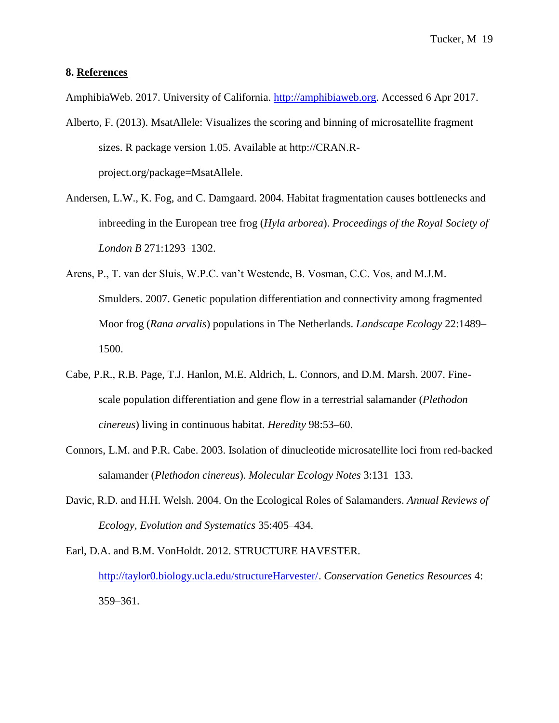#### **8. References**

AmphibiaWeb. 2017. University of California. [http://amphibiaweb.org.](http://amphibiaweb.org/) Accessed 6 Apr 2017.

- Alberto, F. (2013). MsatAllele: Visualizes the scoring and binning of microsatellite fragment sizes. R package version 1.05. Available at http://CRAN.Rproject.org/package=MsatAllele.
- Andersen, L.W., K. Fog, and C. Damgaard. 2004. Habitat fragmentation causes bottlenecks and inbreeding in the European tree frog (*Hyla arborea*). *Proceedings of the Royal Society of London B* 271:1293–1302.
- Arens, P., T. van der Sluis, W.P.C. van't Westende, B. Vosman, C.C. Vos, and M.J.M. Smulders. 2007. Genetic population differentiation and connectivity among fragmented Moor frog (*Rana arvalis*) populations in The Netherlands. *Landscape Ecology* 22:1489– 1500.
- Cabe, P.R., R.B. Page, T.J. Hanlon, M.E. Aldrich, L. Connors, and D.M. Marsh. 2007. Finescale population differentiation and gene flow in a terrestrial salamander (*Plethodon cinereus*) living in continuous habitat. *Heredity* 98:53–60.
- Connors, L.M. and P.R. Cabe. 2003. Isolation of dinucleotide microsatellite loci from red-backed salamander (*Plethodon cinereus*). *Molecular Ecology Notes* 3:131–133.
- Davic, R.D. and H.H. Welsh. 2004. On the Ecological Roles of Salamanders. *Annual Reviews of Ecology, Evolution and Systematics* 35:405–434.

Earl, D.A. and B.M. VonHoldt. 2012. STRUCTURE HAVESTER. [http://taylor0.biology.ucla.edu/structureHarvester/.](http://taylor0.biology.ucla.edu/structureHarvester/) *Conservation Genetics Resources* 4: 359–361.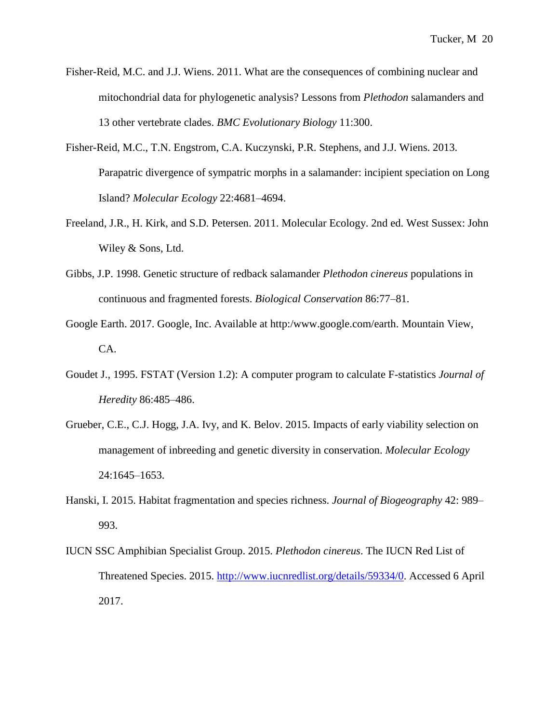- Fisher-Reid, M.C. and J.J. Wiens. 2011. What are the consequences of combining nuclear and mitochondrial data for phylogenetic analysis? Lessons from *Plethodon* salamanders and 13 other vertebrate clades. *BMC Evolutionary Biology* 11:300.
- Fisher-Reid, M.C., T.N. Engstrom, C.A. Kuczynski, P.R. Stephens, and J.J. Wiens. 2013. Parapatric divergence of sympatric morphs in a salamander: incipient speciation on Long Island? *Molecular Ecology* 22:4681–4694.
- Freeland, J.R., H. Kirk, and S.D. Petersen. 2011. Molecular Ecology. 2nd ed. West Sussex: John Wiley & Sons, Ltd.
- Gibbs, J.P. 1998. Genetic structure of redback salamander *Plethodon cinereus* populations in continuous and fragmented forests. *Biological Conservation* 86:77–81.
- Google Earth. 2017. Google, Inc. Available at http:/www.google.com/earth. Mountain View, CA.
- Goudet J., 1995. FSTAT (Version 1.2): A computer program to calculate F-statistics *Journal of Heredity* 86:485–486.
- Grueber, C.E., C.J. Hogg, J.A. Ivy, and K. Belov. 2015. Impacts of early viability selection on management of inbreeding and genetic diversity in conservation. *Molecular Ecology*  24:1645–1653.
- Hanski, I. 2015. Habitat fragmentation and species richness. *Journal of Biogeography* 42: 989– 993.
- IUCN SSC Amphibian Specialist Group. 2015. *Plethodon cinereus*. The IUCN Red List of Threatened Species. 2015. [http://www.iucnredlist.org/details/59334/0.](http://www.iucnredlist.org/details/59334/0) Accessed 6 April 2017.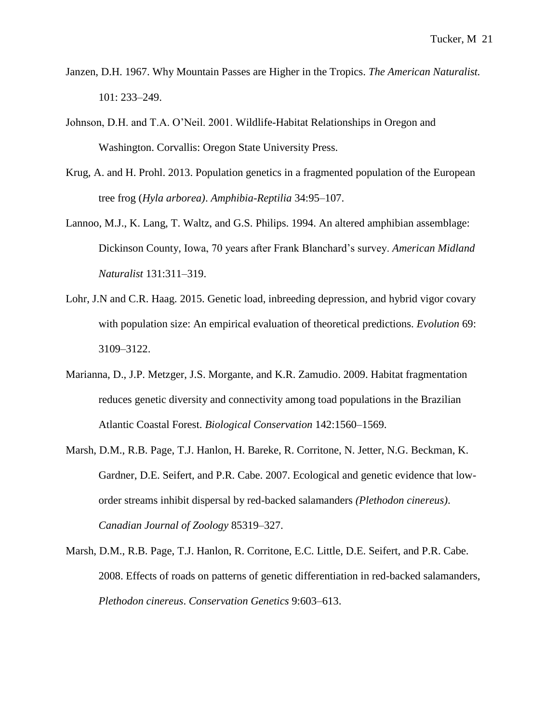- Janzen, D.H. 1967. Why Mountain Passes are Higher in the Tropics. *The American Naturalist.* 101: 233–249.
- Johnson, D.H. and T.A. O'Neil. 2001. Wildlife-Habitat Relationships in Oregon and Washington. Corvallis: Oregon State University Press.
- Krug, A. and H. Prohl. 2013. Population genetics in a fragmented population of the European tree frog (*Hyla arborea)*. *Amphibia-Reptilia* 34:95–107.
- Lannoo, M.J., K. Lang, T. Waltz, and G.S. Philips. 1994. An altered amphibian assemblage: Dickinson County, Iowa, 70 years after Frank Blanchard's survey. *American Midland Naturalist* 131:311–319.
- Lohr, J.N and C.R. Haag. 2015. Genetic load, inbreeding depression, and hybrid vigor covary with population size: An empirical evaluation of theoretical predictions. *Evolution* 69: 3109–3122.
- Marianna, D., J.P. Metzger, J.S. Morgante, and K.R. Zamudio. 2009. Habitat fragmentation reduces genetic diversity and connectivity among toad populations in the Brazilian Atlantic Coastal Forest. *Biological Conservation* 142:1560–1569.
- Marsh, D.M., R.B. Page, T.J. Hanlon, H. Bareke, R. Corritone, N. Jetter, N.G. Beckman, K. Gardner, D.E. Seifert, and P.R. Cabe. 2007. Ecological and genetic evidence that loworder streams inhibit dispersal by red-backed salamanders *(Plethodon cinereus)*. *Canadian Journal of Zoology* 85319–327.
- Marsh, D.M., R.B. Page, T.J. Hanlon, R. Corritone, E.C. Little, D.E. Seifert, and P.R. Cabe. 2008. Effects of roads on patterns of genetic differentiation in red-backed salamanders, *Plethodon cinereus*. *Conservation Genetics* 9:603–613.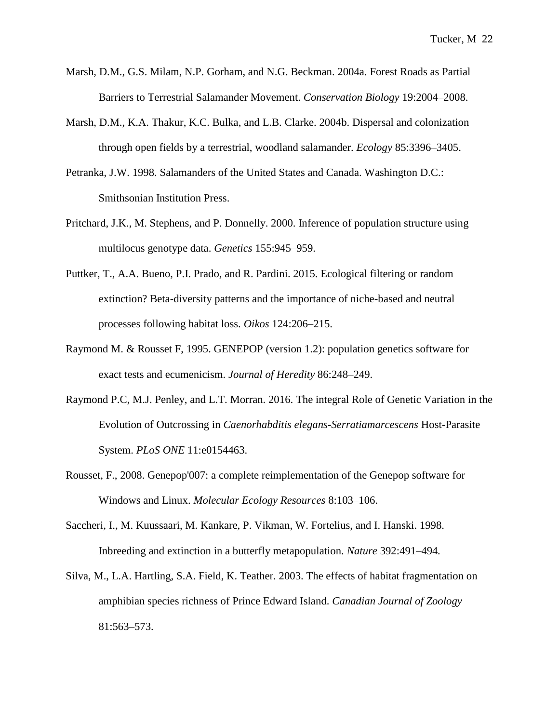- Marsh, D.M., G.S. Milam, N.P. Gorham, and N.G. Beckman. 2004a. Forest Roads as Partial Barriers to Terrestrial Salamander Movement. *Conservation Biology* 19:2004–2008.
- Marsh, D.M., K.A. Thakur, K.C. Bulka, and L.B. Clarke. 2004b. Dispersal and colonization through open fields by a terrestrial, woodland salamander. *Ecology* 85:3396–3405.
- Petranka, J.W. 1998. Salamanders of the United States and Canada. Washington D.C.: Smithsonian Institution Press.
- Pritchard, J.K., M. Stephens, and P. Donnelly. 2000. Inference of population structure using multilocus genotype data. *Genetics* 155:945–959.
- Puttker, T., A.A. Bueno, P.I. Prado, and R. Pardini. 2015. Ecological filtering or random extinction? Beta-diversity patterns and the importance of niche-based and neutral processes following habitat loss. *Oikos* 124:206–215.
- Raymond M. & Rousset F, 1995. GENEPOP (version 1.2): population genetics software for exact tests and ecumenicism. *Journal of Heredity* 86:248–249.
- Raymond P.C, M.J. Penley, and L.T. Morran. 2016. The integral Role of Genetic Variation in the Evolution of Outcrossing in *Caenorhabditis elegans-Serratiamarcescens* Host-Parasite System. *PLoS ONE* 11:e0154463.
- Rousset, F., 2008. Genepop'007: a complete reimplementation of the Genepop software for Windows and Linux. *Molecular Ecology Resources* 8:103–106.
- Saccheri, I., M. Kuussaari, M. Kankare, P. Vikman, W. Fortelius, and I. Hanski. 1998. Inbreeding and extinction in a butterfly metapopulation. *Nature* 392:491–494*.*
- Silva, M., L.A. Hartling, S.A. Field, K. Teather. 2003. The effects of habitat fragmentation on amphibian species richness of Prince Edward Island. *Canadian Journal of Zoology* 81:563–573.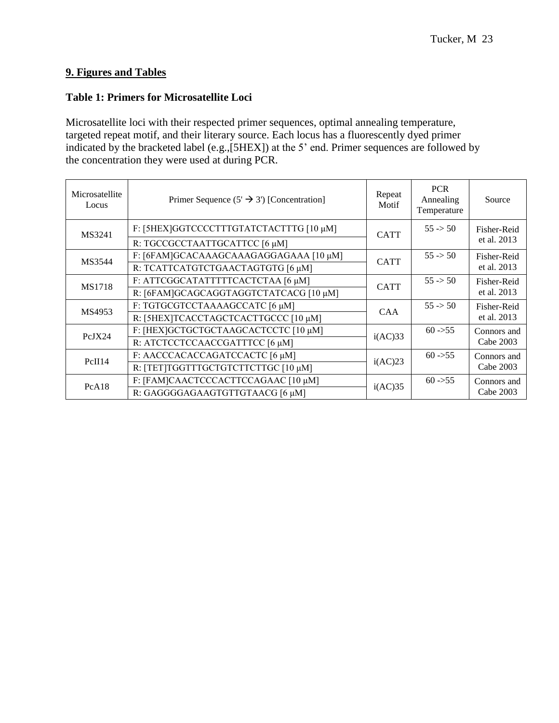# **9. Figures and Tables**

## **Table 1: Primers for Microsatellite Loci**

Microsatellite loci with their respected primer sequences, optimal annealing temperature, targeted repeat motif, and their literary source. Each locus has a fluorescently dyed primer indicated by the bracketed label (e.g.,[5HEX]) at the 5' end. Primer sequences are followed by the concentration they were used at during PCR.

| Microsatellite<br>Locus | Primer Sequence $(5' \rightarrow 3')$ [Concentration] | Repeat<br>Motif | <b>PCR</b><br>Annealing<br>Temperature | Source      |
|-------------------------|-------------------------------------------------------|-----------------|----------------------------------------|-------------|
| MS3241                  | F: [5HEX]GGTCCCCTTTGTATCTACTTTG [10 µM]               | <b>CATT</b>     | $55 \div 50$                           | Fisher-Reid |
|                         | R: TGCCGCCTAATTGCATTCC [6 µM]                         |                 |                                        | et al. 2013 |
| MS3544                  | F: [6FAM]GCACAAAGCAAAGAGGAGAAA [10 μM]                | <b>CATT</b>     | $55 \div 50$                           | Fisher-Reid |
|                         | R: TCATTCATGTCTGAACTAGTGTG [6 µM]                     |                 |                                        | et al. 2013 |
| <b>MS1718</b>           | F: ATTCGGCATATTTTTCACTCTAA [6 μM]                     | <b>CATT</b>     | $55 \div 50$                           | Fisher-Reid |
|                         | R: [6FAM]GCAGCAGGTAGGTCTATCACG [10 µM]                |                 |                                        | et al. 2013 |
| MS4953                  | F: TGTGCGTCCTAAAAGCCATC [6 µM]                        | <b>CAA</b>      | $55 \div 50$                           | Fisher-Reid |
|                         | R: [5HEX]TCACCTAGCTCACTTGCCC [10 µM]                  |                 |                                        | et al. 2013 |
| PcJX24                  | F: [HEX]GCTGCTGCTAAGCACTCCTC [10 µM]                  | i(AC)33         | $60 -555$                              | Connors and |
|                         | R: ATCTCCTCCAACCGATTTCC [6 µM]                        |                 |                                        | Cabe 2003   |
| PcII14                  | F: AACCCACACCAGATCCACTC [6 µM]                        |                 | $60 -555$                              | Connors and |
|                         | R: [TET]TGGTTTGCTGTCTTCTTGC [10 µM]                   | i(AC)23         |                                        | Cabe 2003   |
| PcA18                   | F: [FAM]CAACTCCCACTTCCAGAAC [10 µM]                   |                 | $60 - 55$                              | Connors and |
|                         | R: GAGGGGAGAAGTGTTGTAACG [6 µM]                       | i(AC)35         |                                        | Cabe 2003   |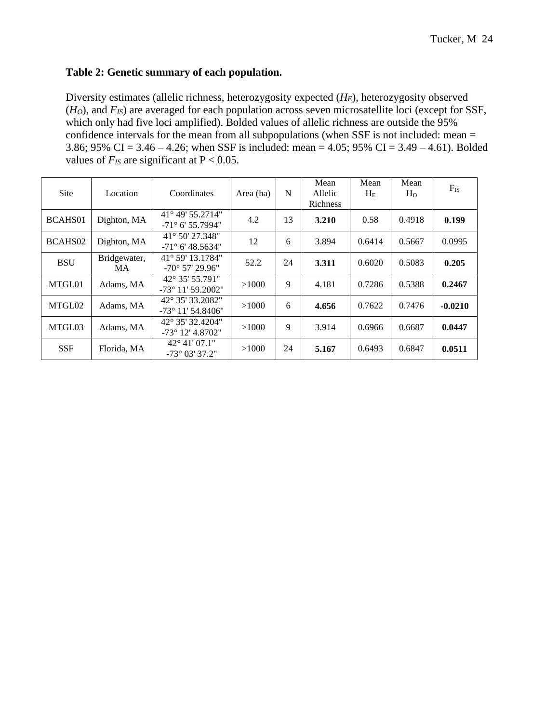## **Table 2: Genetic summary of each population.**

Diversity estimates (allelic richness, heterozygosity expected (*HE*), heterozygosity observed (*HO*), and *FIS*) are averaged for each population across seven microsatellite loci (except for SSF, which only had five loci amplified). Bolded values of allelic richness are outside the 95% confidence intervals for the mean from all subpopulations (when SSF is not included: mean = 3.86; 95% CI = 3.46 – 4.26; when SSF is included: mean = 4.05; 95% CI = 3.49 – 4.61). Bolded values of  $F_{IS}$  are significant at  $P < 0.05$ .

| Site       | Location           | Coordinates                                            | Area (ha) | N  | Mean<br>Allelic<br><b>Richness</b> | Mean<br>$H_{E}$ | Mean<br>H <sub>o</sub> | $F_{IS}$  |
|------------|--------------------|--------------------------------------------------------|-----------|----|------------------------------------|-----------------|------------------------|-----------|
| BCAHS01    | Dighton, MA        | $41^{\circ}$ 49' 55.2714"<br>$-71^{\circ}$ 6' 55.7994" | 4.2       | 13 | 3.210                              | 0.58            | 0.4918                 | 0.199     |
| BCAHS02    | Dighton, MA        | $41^{\circ}$ 50' 27.348"<br>$-71^{\circ}$ 6' 48.5634"  | 12        | 6  | 3.894                              | 0.6414          | 0.5667                 | 0.0995    |
| <b>BSU</b> | Bridgewater,<br>MA | $41^{\circ}$ 59' 13.1784"<br>$-70^{\circ}$ 57' 29.96"  | 52.2      | 24 | 3.311                              | 0.6020          | 0.5083                 | 0.205     |
| MTGL01     | Adams, MA          | $42^{\circ}$ 35' 55.791"<br>$-73^{\circ}$ 11' 59.2002" | >1000     | 9  | 4.181                              | 0.7286          | 0.5388                 | 0.2467    |
| MTGL02     | Adams, MA          | 42° 35′ 33.2082″<br>$-73^{\circ}$ 11' 54.8406"         | >1000     | 6  | 4.656                              | 0.7622          | 0.7476                 | $-0.0210$ |
| MTGL03     | Adams, MA          | 42° 35′ 32.4204″<br>$-73^{\circ}$ 12' 4.8702"          | >1000     | 9  | 3.914                              | 0.6966          | 0.6687                 | 0.0447    |
| <b>SSF</b> | Florida, MA        | 42° 41' 07.1"<br>$-73^{\circ}$ 03' 37.2"               | >1000     | 24 | 5.167                              | 0.6493          | 0.6847                 | 0.0511    |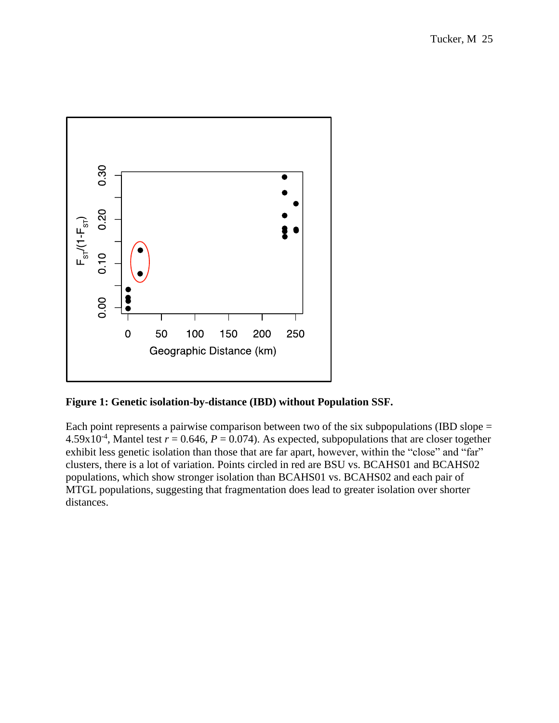

**Figure 1: Genetic isolation-by-distance (IBD) without Population SSF.** 

Each point represents a pairwise comparison between two of the six subpopulations (IBD slope  $=$  $4.59x10^{-4}$ , Mantel test  $r = 0.646$ ,  $P = 0.074$ ). As expected, subpopulations that are closer together exhibit less genetic isolation than those that are far apart, however, within the "close" and "far" clusters, there is a lot of variation. Points circled in red are BSU vs. BCAHS01 and BCAHS02 populations, which show stronger isolation than BCAHS01 vs. BCAHS02 and each pair of MTGL populations, suggesting that fragmentation does lead to greater isolation over shorter distances.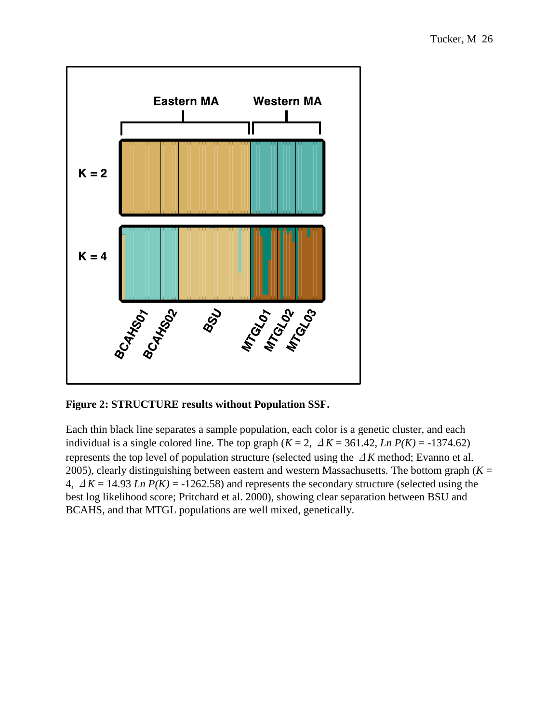

**Figure 2: STRUCTURE results without Population SSF.**

Each thin black line separates a sample population, each color is a genetic cluster, and each individual is a single colored line. The top graph  $(K = 2, \Delta K = 361.42, \text{Ln } P(K) = -1374.62)$ represents the top level of population structure (selected using the Δ*K* method; Evanno et al. 2005), clearly distinguishing between eastern and western Massachusetts. The bottom graph  $(K =$ 4,  $\Delta K = 14.93$  *Ln P(K)* = -1262.58) and represents the secondary structure (selected using the best log likelihood score; Pritchard et al. 2000), showing clear separation between BSU and BCAHS, and that MTGL populations are well mixed, genetically.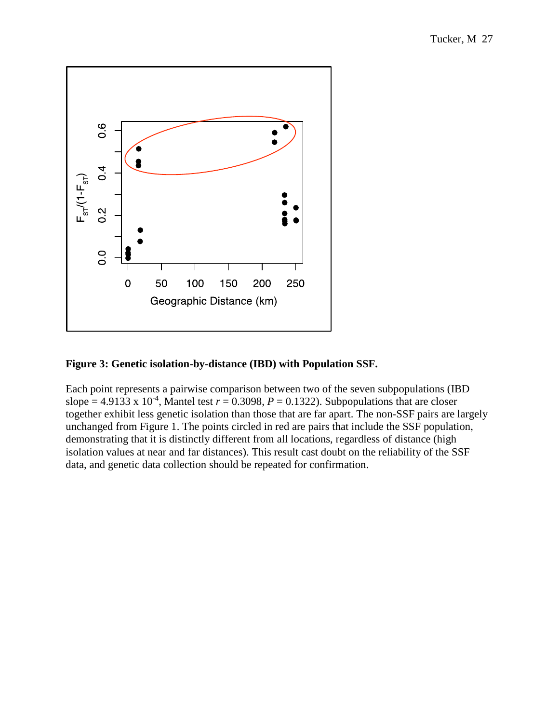

## **Figure 3: Genetic isolation-by-distance (IBD) with Population SSF.**

Each point represents a pairwise comparison between two of the seven subpopulations (IBD slope = 4.9133 x 10<sup>-4</sup>, Mantel test  $r = 0.3098$ ,  $P = 0.1322$ ). Subpopulations that are closer together exhibit less genetic isolation than those that are far apart. The non-SSF pairs are largely unchanged from Figure 1. The points circled in red are pairs that include the SSF population, demonstrating that it is distinctly different from all locations, regardless of distance (high isolation values at near and far distances). This result cast doubt on the reliability of the SSF data, and genetic data collection should be repeated for confirmation.